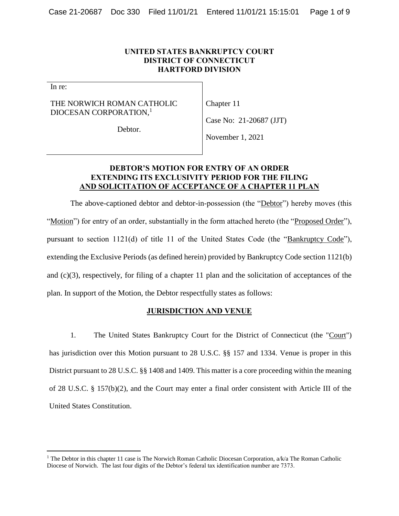#### **UNITED STATES BANKRUPTCY COURT DISTRICT OF CONNECTICUT HARTFORD DIVISION**

In re:

 $\overline{a}$ 

THE NORWICH ROMAN CATHOLIC DIOCESAN CORPORATION,<sup>1</sup>

Chapter 11

Case No: 21-20687 (JJT)

Debtor.

November 1, 2021

## **DEBTOR'S MOTION FOR ENTRY OF AN ORDER EXTENDING ITS EXCLUSIVITY PERIOD FOR THE FILING AND SOLICITATION OF ACCEPTANCE OF A CHAPTER 11 PLAN**

The above-captioned debtor and debtor-in-possession (the "Debtor") hereby moves (this "Motion") for entry of an order, substantially in the form attached hereto (the "Proposed Order"), pursuant to section 1121(d) of title 11 of the United States Code (the "Bankruptcy Code"), extending the Exclusive Periods (as defined herein) provided by Bankruptcy Code section 1121(b) and (c)(3), respectively, for filing of a chapter 11 plan and the solicitation of acceptances of the plan. In support of the Motion, the Debtor respectfully states as follows:

### **JURISDICTION AND VENUE**

1. The United States Bankruptcy Court for the District of Connecticut (the "Court") has jurisdiction over this Motion pursuant to 28 U.S.C. §§ 157 and 1334. Venue is proper in this District pursuant to 28 U.S.C. §§ 1408 and 1409. This matter is a core proceeding within the meaning of 28 U.S.C. § 157(b)(2), and the Court may enter a final order consistent with Article III of the United States Constitution.

<sup>&</sup>lt;sup>1</sup> The Debtor in this chapter 11 case is The Norwich Roman Catholic Diocesan Corporation,  $a/k/a$  The Roman Catholic Diocese of Norwich. The last four digits of the Debtor's federal tax identification number are 7373.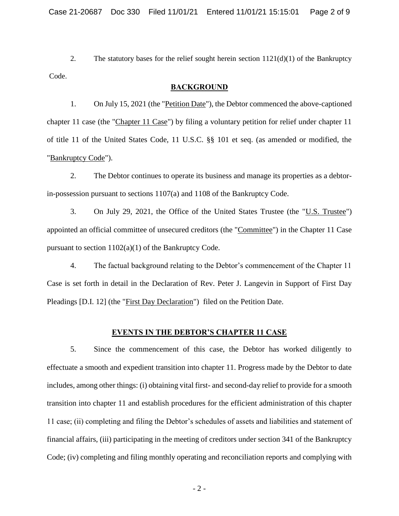2. The statutory bases for the relief sought herein section  $1121(d)(1)$  of the Bankruptcy Code.

#### **BACKGROUND**

1. On July 15, 2021 (the "Petition Date"), the Debtor commenced the above-captioned chapter 11 case (the "Chapter 11 Case") by filing a voluntary petition for relief under chapter 11 of title 11 of the United States Code, 11 U.S.C. §§ 101 et seq. (as amended or modified, the "Bankruptcy Code").

2. The Debtor continues to operate its business and manage its properties as a debtorin-possession pursuant to sections 1107(a) and 1108 of the Bankruptcy Code.

3. On July 29, 2021, the Office of the United States Trustee (the "U.S. Trustee") appointed an official committee of unsecured creditors (the "Committee") in the Chapter 11 Case pursuant to section  $1102(a)(1)$  of the Bankruptcy Code.

4. The factual background relating to the Debtor's commencement of the Chapter 11 Case is set forth in detail in the Declaration of Rev. Peter J. Langevin in Support of First Day Pleadings [D.I. 12] (the "First Day Declaration") filed on the Petition Date.

### **EVENTS IN THE DEBTOR'S CHAPTER 11 CASE**

5. Since the commencement of this case, the Debtor has worked diligently to effectuate a smooth and expedient transition into chapter 11. Progress made by the Debtor to date includes, among other things: (i) obtaining vital first- and second-day relief to provide for a smooth transition into chapter 11 and establish procedures for the efficient administration of this chapter 11 case; (ii) completing and filing the Debtor's schedules of assets and liabilities and statement of financial affairs, (iii) participating in the meeting of creditors under section 341 of the Bankruptcy Code; (iv) completing and filing monthly operating and reconciliation reports and complying with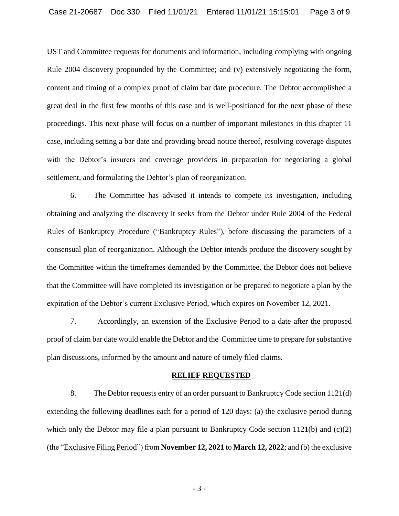UST and Committee requests for documents and information, including complying with ongoing Rule 2004 discovery propounded by the Committee; and (v) extensively negotiating the form, content and timing of a complex proof of claim bar date procedure. The Debtor accomplished a great deal in the first few months of this case and is well-positioned for the next phase of these proceedings. This next phase will focus on a number of important milestones in this chapter 11 case, including setting a bar date and providing broad notice thereof, resolving coverage disputes with the Debtor's insurers and coverage providers in preparation for negotiating a global settlement, and formulating the Debtor's plan of reorganization.

6. The Committee has advised it intends to compete its investigation, including obtaining and analyzing the discovery it seeks from the Debtor under Rule 2004 of the Federal Rules of Bankruptcy Procedure ("Bankruptcy Rules"), before discussing the parameters of a consensual plan of reorganization. Although the Debtor intends produce the discovery sought by the Committee within the timeframes demanded by the Committee, the Debtor does not believe that the Committee will have completed its investigation or be prepared to negotiate a plan by the expiration of the Debtor's current Exclusive Period, which expires on November 12, 2021.

7. Accordingly, an extension of the Exclusive Period to a date after the proposed proof of claim bar date would enable the Debtor and the Committee time to prepare for substantive plan discussions, informed by the amount and nature of timely filed claims.

#### **RELIEF REQUESTED**

8. The Debtor requests entry of an order pursuant to Bankruptcy Code section 1121(d) extending the following deadlines each for a period of 120 days: (a) the exclusive period during which only the Debtor may file a plan pursuant to Bankruptcy Code section 1121(b) and (c)(2) (the "Exclusive Filing Period") from **November 12, 2021** to **March 12, 2022**; and (b) the exclusive

- 3 -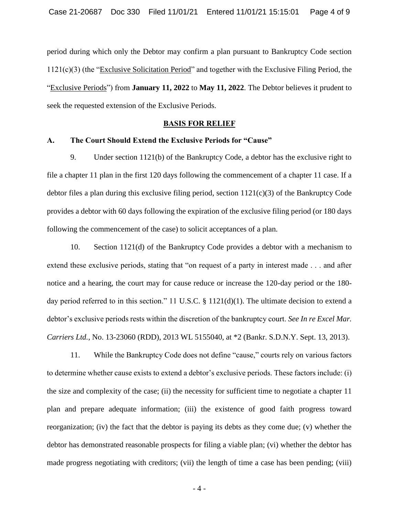period during which only the Debtor may confirm a plan pursuant to Bankruptcy Code section 1121(c)(3) (the "Exclusive Solicitation Period" and together with the Exclusive Filing Period, the "Exclusive Periods") from **January 11, 2022** to **May 11, 2022**. The Debtor believes it prudent to seek the requested extension of the Exclusive Periods.

#### **BASIS FOR RELIEF**

#### **A. The Court Should Extend the Exclusive Periods for "Cause"**

9. Under section 1121(b) of the Bankruptcy Code, a debtor has the exclusive right to file a chapter 11 plan in the first 120 days following the commencement of a chapter 11 case. If a debtor files a plan during this exclusive filing period, section 1121(c)(3) of the Bankruptcy Code provides a debtor with 60 days following the expiration of the exclusive filing period (or 180 days following the commencement of the case) to solicit acceptances of a plan.

10. Section 1121(d) of the Bankruptcy Code provides a debtor with a mechanism to extend these exclusive periods, stating that "on request of a party in interest made . . . and after notice and a hearing, the court may for cause reduce or increase the 120-day period or the 180 day period referred to in this section." 11 U.S.C. § 1121(d)(1). The ultimate decision to extend a debtor's exclusive periods rests within the discretion of the bankruptcy court. *See In re Excel Mar. Carriers Ltd.*, No. 13-23060 (RDD), 2013 WL 5155040, at \*2 (Bankr. S.D.N.Y. Sept. 13, 2013).

11. While the Bankruptcy Code does not define "cause," courts rely on various factors to determine whether cause exists to extend a debtor's exclusive periods. These factors include: (i) the size and complexity of the case; (ii) the necessity for sufficient time to negotiate a chapter 11 plan and prepare adequate information; (iii) the existence of good faith progress toward reorganization; (iv) the fact that the debtor is paying its debts as they come due; (v) whether the debtor has demonstrated reasonable prospects for filing a viable plan; (vi) whether the debtor has made progress negotiating with creditors; (vii) the length of time a case has been pending; (viii)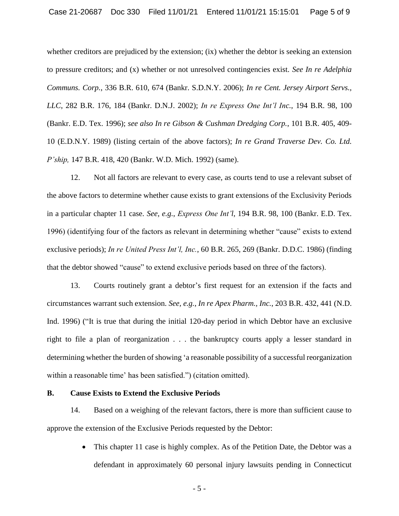whether creditors are prejudiced by the extension; (ix) whether the debtor is seeking an extension to pressure creditors; and (x) whether or not unresolved contingencies exist. *See In re Adelphia Communs. Corp.*, 336 B.R. 610, 674 (Bankr. S.D.N.Y. 2006); *In re Cent. Jersey Airport Servs., LLC*, 282 B.R. 176, 184 (Bankr. D.N.J. 2002); *In re Express One Int'l Inc.*, 194 B.R. 98, 100 (Bankr. E.D. Tex. 1996); *see also In re Gibson & Cushman Dredging Corp.*, 101 B.R. 405, 409- 10 (E.D.N.Y. 1989) (listing certain of the above factors); *In re Grand Traverse Dev. Co. Ltd. P'ship,* 147 B.R. 418, 420 (Bankr. W.D. Mich. 1992) (same).

12. Not all factors are relevant to every case, as courts tend to use a relevant subset of the above factors to determine whether cause exists to grant extensions of the Exclusivity Periods in a particular chapter 11 case. *See, e.g.*, *Express One Int'l*, 194 B.R. 98, 100 (Bankr. E.D. Tex. 1996) (identifying four of the factors as relevant in determining whether "cause" exists to extend exclusive periods); *In re United Press Int'l, Inc.*, 60 B.R. 265, 269 (Bankr. D.D.C. 1986) (finding that the debtor showed "cause" to extend exclusive periods based on three of the factors).

13. Courts routinely grant a debtor's first request for an extension if the facts and circumstances warrant such extension. *See, e.g.*, *In re Apex Pharm., Inc.*, 203 B.R. 432, 441 (N.D. Ind. 1996) ("It is true that during the initial 120-day period in which Debtor have an exclusive right to file a plan of reorganization . . . the bankruptcy courts apply a lesser standard in determining whether the burden of showing 'a reasonable possibility of a successful reorganization within a reasonable time' has been satisfied.") (citation omitted).

#### **B. Cause Exists to Extend the Exclusive Periods**

14. Based on a weighing of the relevant factors, there is more than sufficient cause to approve the extension of the Exclusive Periods requested by the Debtor:

> • This chapter 11 case is highly complex. As of the Petition Date, the Debtor was a defendant in approximately 60 personal injury lawsuits pending in Connecticut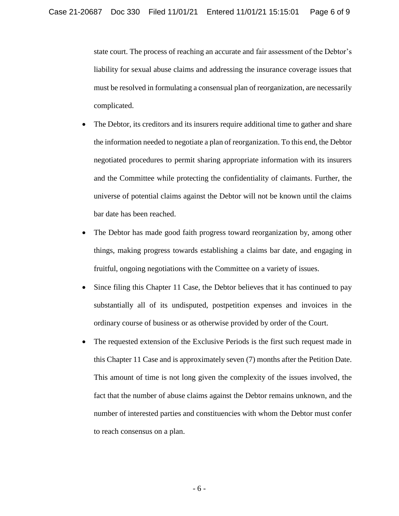state court. The process of reaching an accurate and fair assessment of the Debtor's liability for sexual abuse claims and addressing the insurance coverage issues that must be resolved in formulating a consensual plan of reorganization, are necessarily complicated.

- The Debtor, its creditors and its insurers require additional time to gather and share the information needed to negotiate a plan of reorganization. To this end, the Debtor negotiated procedures to permit sharing appropriate information with its insurers and the Committee while protecting the confidentiality of claimants. Further, the universe of potential claims against the Debtor will not be known until the claims bar date has been reached.
- The Debtor has made good faith progress toward reorganization by, among other things, making progress towards establishing a claims bar date, and engaging in fruitful, ongoing negotiations with the Committee on a variety of issues.
- Since filing this Chapter 11 Case, the Debtor believes that it has continued to pay substantially all of its undisputed, postpetition expenses and invoices in the ordinary course of business or as otherwise provided by order of the Court.
- The requested extension of the Exclusive Periods is the first such request made in this Chapter 11 Case and is approximately seven (7) months after the Petition Date. This amount of time is not long given the complexity of the issues involved, the fact that the number of abuse claims against the Debtor remains unknown, and the number of interested parties and constituencies with whom the Debtor must confer to reach consensus on a plan.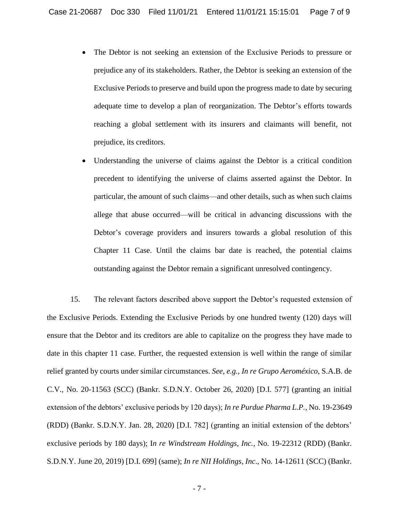- The Debtor is not seeking an extension of the Exclusive Periods to pressure or prejudice any of its stakeholders. Rather, the Debtor is seeking an extension of the Exclusive Periods to preserve and build upon the progress made to date by securing adequate time to develop a plan of reorganization. The Debtor's efforts towards reaching a global settlement with its insurers and claimants will benefit, not prejudice, its creditors.
- Understanding the universe of claims against the Debtor is a critical condition precedent to identifying the universe of claims asserted against the Debtor. In particular, the amount of such claims—and other details, such as when such claims allege that abuse occurred—will be critical in advancing discussions with the Debtor's coverage providers and insurers towards a global resolution of this Chapter 11 Case. Until the claims bar date is reached, the potential claims outstanding against the Debtor remain a significant unresolved contingency.

15. The relevant factors described above support the Debtor's requested extension of the Exclusive Periods. Extending the Exclusive Periods by one hundred twenty (120) days will ensure that the Debtor and its creditors are able to capitalize on the progress they have made to date in this chapter 11 case. Further, the requested extension is well within the range of similar relief granted by courts under similar circumstances. *See, e.g., In re Grupo Aeroméxico*, S.A.B. de C.V., No. 20-11563 (SCC) (Bankr. S.D.N.Y. October 26, 2020) [D.I. 577] (granting an initial extension of the debtors' exclusive periods by 120 days); *In re Purdue Pharma L.P.,* No. 19-23649 (RDD) (Bankr. S.D.N.Y. Jan. 28, 2020) [D.I. 782] (granting an initial extension of the debtors' exclusive periods by 180 days); I*n re Windstream Holdings, Inc.*, No. 19-22312 (RDD) (Bankr. S.D.N.Y. June 20, 2019) [D.I. 699] (same); *In re NII Holdings, Inc*., No. 14-12611 (SCC) (Bankr.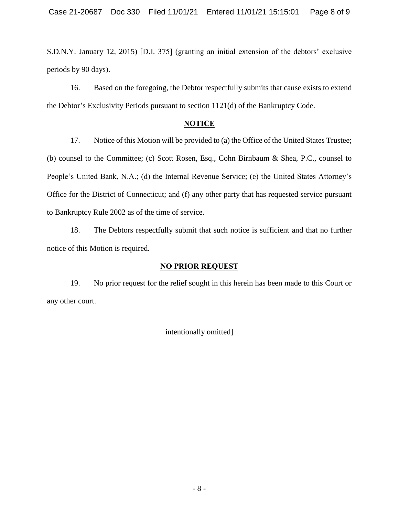S.D.N.Y. January 12, 2015) [D.I. 375] (granting an initial extension of the debtors' exclusive periods by 90 days).

16. Based on the foregoing, the Debtor respectfully submits that cause exists to extend the Debtor's Exclusivity Periods pursuant to section 1121(d) of the Bankruptcy Code.

## **NOTICE**

17. Notice of this Motion will be provided to (a) the Office of the United States Trustee; (b) counsel to the Committee; (c) Scott Rosen, Esq., Cohn Birnbaum & Shea, P.C., counsel to People's United Bank, N.A.; (d) the Internal Revenue Service; (e) the United States Attorney's Office for the District of Connecticut; and (f) any other party that has requested service pursuant to Bankruptcy Rule 2002 as of the time of service.

18. The Debtors respectfully submit that such notice is sufficient and that no further notice of this Motion is required.

## **NO PRIOR REQUEST**

19. No prior request for the relief sought in this herein has been made to this Court or any other court.

## intentionally omitted]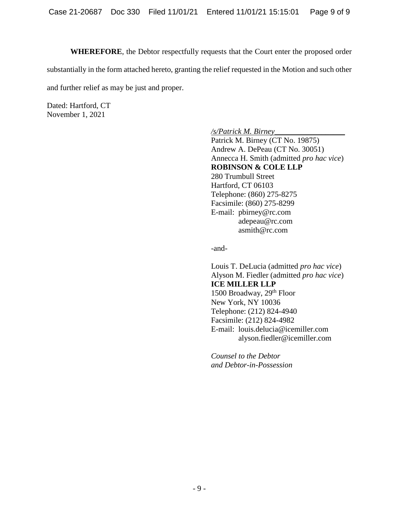**WHEREFORE**, the Debtor respectfully requests that the Court enter the proposed order

substantially in the form attached hereto, granting the relief requested in the Motion and such other

and further relief as may be just and proper.

Dated: Hartford, CT November 1, 2021

*/s/Patrick M. Birney\_\_\_\_\_\_\_\_\_\_\_\_\_\_\_\_\_\_* 

Patrick M. Birney (CT No. 19875) Andrew A. DePeau (CT No. 30051) Annecca H. Smith (admitted *pro hac vice*) **ROBINSON & COLE LLP** 280 Trumbull Street Hartford, CT 06103 Telephone: (860) 275-8275 Facsimile: (860) 275-8299 E-mail: pbirney@rc.com adepeau@rc.com asmith@rc.com

-and-

Louis T. DeLucia (admitted *pro hac vice*) Alyson M. Fiedler (admitted *pro hac vice*) **ICE MILLER LLP** 1500 Broadway, 29th Floor New York, NY 10036 Telephone: (212) 824-4940 Facsimile: (212) 824-4982 E-mail: louis.delucia@icemiller.com alyson.fiedler@icemiller.com

*Counsel to the Debtor and Debtor-in-Possession*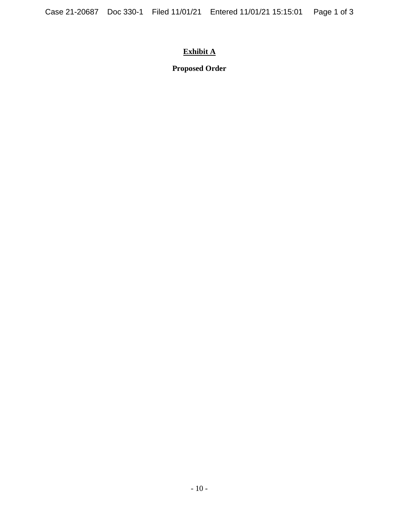# **Exhibit A**

**Proposed Order**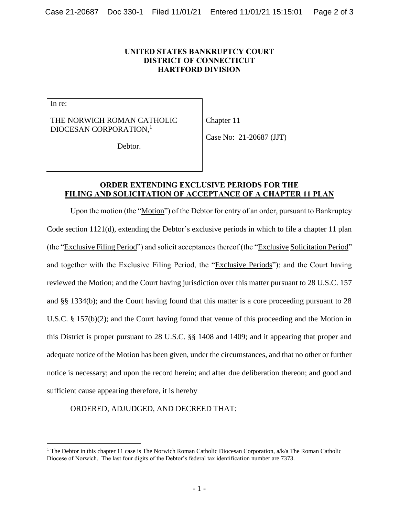### **UNITED STATES BANKRUPTCY COURT DISTRICT OF CONNECTICUT HARTFORD DIVISION**

In re:

 $\overline{a}$ 

#### THE NORWICH ROMAN CATHOLIC DIOCESAN CORPORATION,<sup>1</sup>

Chapter 11

Case No: 21-20687 (JJT)

Debtor.

## **ORDER EXTENDING EXCLUSIVE PERIODS FOR THE FILING AND SOLICITATION OF ACCEPTANCE OF A CHAPTER 11 PLAN**

Upon the motion (the "Motion") of the Debtor for entry of an order, pursuant to Bankruptcy Code section 1121(d), extending the Debtor's exclusive periods in which to file a chapter 11 plan (the "Exclusive Filing Period") and solicit acceptances thereof (the "Exclusive Solicitation Period" and together with the Exclusive Filing Period, the "Exclusive Periods"); and the Court having reviewed the Motion; and the Court having jurisdiction over this matter pursuant to 28 U.S.C. 157 and §§ 1334(b); and the Court having found that this matter is a core proceeding pursuant to 28 U.S.C. § 157(b)(2); and the Court having found that venue of this proceeding and the Motion in this District is proper pursuant to 28 U.S.C. §§ 1408 and 1409; and it appearing that proper and adequate notice of the Motion has been given, under the circumstances, and that no other or further notice is necessary; and upon the record herein; and after due deliberation thereon; and good and sufficient cause appearing therefore, it is hereby

ORDERED, ADJUDGED, AND DECREED THAT:

<sup>&</sup>lt;sup>1</sup> The Debtor in this chapter 11 case is The Norwich Roman Catholic Diocesan Corporation,  $a/k/a$  The Roman Catholic Diocese of Norwich. The last four digits of the Debtor's federal tax identification number are 7373.